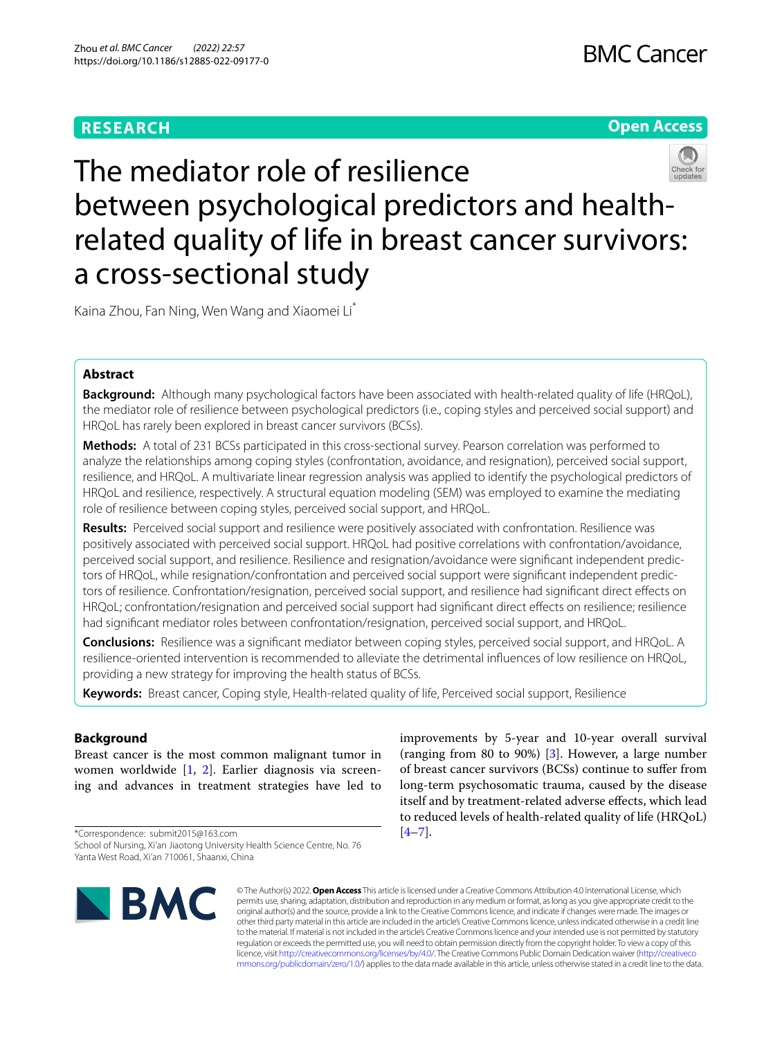# **RESEARCH**





Kaina Zhou, Fan Ning, Wen Wang and Xiaomei Li\*

## **Abstract**

**Background:** Although many psychological factors have been associated with health-related quality of life (HRQoL), the mediator role of resilience between psychological predictors (i.e., coping styles and perceived social support) and HRQoL has rarely been explored in breast cancer survivors (BCSs).

**Methods:** A total of 231 BCSs participated in this cross-sectional survey. Pearson correlation was performed to analyze the relationships among coping styles (confrontation, avoidance, and resignation), perceived social support, resilience, and HRQoL. A multivariate linear regression analysis was applied to identify the psychological predictors of HRQoL and resilience, respectively. A structural equation modeling (SEM) was employed to examine the mediating role of resilience between coping styles, perceived social support, and HRQoL.

**Results:** Perceived social support and resilience were positively associated with confrontation. Resilience was positively associated with perceived social support. HRQoL had positive correlations with confrontation/avoidance, perceived social support, and resilience. Resilience and resignation/avoidance were signifcant independent predictors of HRQoL, while resignation/confrontation and perceived social support were signifcant independent predictors of resilience. Confrontation/resignation, perceived social support, and resilience had signifcant direct efects on HRQoL; confrontation/resignation and perceived social support had signifcant direct efects on resilience; resilience had signifcant mediator roles between confrontation/resignation, perceived social support, and HRQoL.

**Conclusions:** Resilience was a signifcant mediator between coping styles, perceived social support, and HRQoL. A resilience-oriented intervention is recommended to alleviate the detrimental infuences of low resilience on HRQoL, providing a new strategy for improving the health status of BCSs.

**Keywords:** Breast cancer, Coping style, Health-related quality of life, Perceived social support, Resilience

## **Background**

Breast cancer is the most common malignant tumor in women worldwide [\[1](#page-6-0), [2](#page-6-1)]. Earlier diagnosis via screening and advances in treatment strategies have led to

\*Correspondence: submit2015@163.com School of Nursing, Xi'an Jiaotong University Health Science Centre, No. 76 Yanta West Road, Xi'an 710061, Shaanxi, China

**BMC** 

improvements by 5-year and 10-year overall survival (ranging from 80 to 90%) [[3](#page-6-2)]. However, a large number of breast cancer survivors (BCSs) continue to sufer from long-term psychosomatic trauma, caused by the disease itself and by treatment-related adverse efects, which lead to reduced levels of health-related quality of life (HRQoL)  $[4-7]$  $[4-7]$ .

© The Author(s) 2022. **Open Access** This article is licensed under a Creative Commons Attribution 4.0 International License, which permits use, sharing, adaptation, distribution and reproduction in any medium or format, as long as you give appropriate credit to the original author(s) and the source, provide a link to the Creative Commons licence, and indicate if changes were made. The images or other third party material in this article are included in the article's Creative Commons licence, unless indicated otherwise in a credit line to the material. If material is not included in the article's Creative Commons licence and your intended use is not permitted by statutory regulation or exceeds the permitted use, you will need to obtain permission directly from the copyright holder. To view a copy of this licence, visit [http://creativecommons.org/licenses/by/4.0/.](http://creativecommons.org/licenses/by/4.0/) The Creative Commons Public Domain Dedication waiver ([http://creativeco](http://creativecommons.org/publicdomain/zero/1.0/) [mmons.org/publicdomain/zero/1.0/](http://creativecommons.org/publicdomain/zero/1.0/)) applies to the data made available in this article, unless otherwise stated in a credit line to the data.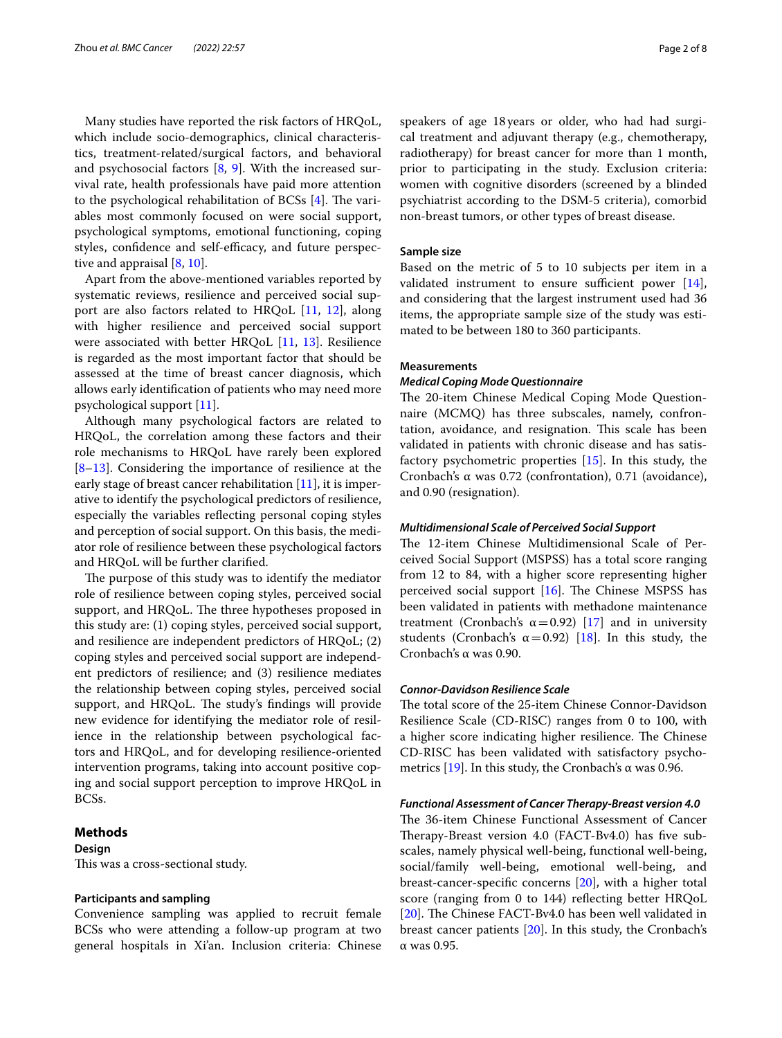Many studies have reported the risk factors of HRQoL, which include socio-demographics, clinical characteristics, treatment-related/surgical factors, and behavioral and psychosocial factors  $[8, 9]$  $[8, 9]$  $[8, 9]$  $[8, 9]$ . With the increased survival rate, health professionals have paid more attention to the psychological rehabilitation of BCSs  $[4]$  $[4]$ . The variables most commonly focused on were social support, psychological symptoms, emotional functioning, coping styles, confidence and self-efficacy, and future perspective and appraisal [[8](#page-6-5), [10\]](#page-6-7).

Apart from the above-mentioned variables reported by systematic reviews, resilience and perceived social support are also factors related to HRQoL [\[11](#page-6-8), [12\]](#page-6-9), along with higher resilience and perceived social support were associated with better HRQoL [[11,](#page-6-8) [13](#page-6-10)]. Resilience is regarded as the most important factor that should be assessed at the time of breast cancer diagnosis, which allows early identifcation of patients who may need more psychological support [[11\]](#page-6-8).

Although many psychological factors are related to HRQoL, the correlation among these factors and their role mechanisms to HRQoL have rarely been explored [[8–](#page-6-5)[13\]](#page-6-10). Considering the importance of resilience at the early stage of breast cancer rehabilitation  $[11]$  $[11]$  $[11]$ , it is imperative to identify the psychological predictors of resilience, especially the variables refecting personal coping styles and perception of social support. On this basis, the mediator role of resilience between these psychological factors and HRQoL will be further clarifed.

The purpose of this study was to identify the mediator role of resilience between coping styles, perceived social support, and HRQoL. The three hypotheses proposed in this study are: (1) coping styles, perceived social support, and resilience are independent predictors of HRQoL; (2) coping styles and perceived social support are independent predictors of resilience; and (3) resilience mediates the relationship between coping styles, perceived social support, and HRQoL. The study's findings will provide new evidence for identifying the mediator role of resilience in the relationship between psychological factors and HRQoL, and for developing resilience-oriented intervention programs, taking into account positive coping and social support perception to improve HRQoL in BCSs.

## **Methods**

## **Design**

This was a cross-sectional study.

### **Participants and sampling**

Convenience sampling was applied to recruit female BCSs who were attending a follow-up program at two general hospitals in Xi'an. Inclusion criteria: Chinese speakers of age 18years or older, who had had surgical treatment and adjuvant therapy (e.g., chemotherapy, radiotherapy) for breast cancer for more than 1 month, prior to participating in the study. Exclusion criteria: women with cognitive disorders (screened by a blinded psychiatrist according to the DSM-5 criteria), comorbid non-breast tumors, or other types of breast disease.

## **Sample size**

Based on the metric of 5 to 10 subjects per item in a validated instrument to ensure sufficient power  $[14]$  $[14]$ , and considering that the largest instrument used had 36 items, the appropriate sample size of the study was estimated to be between 180 to 360 participants.

### **Measurements**

## *Medical Coping Mode Questionnaire*

The 20-item Chinese Medical Coping Mode Questionnaire (MCMQ) has three subscales, namely, confrontation, avoidance, and resignation. This scale has been validated in patients with chronic disease and has satisfactory psychometric properties [\[15](#page-6-12)]. In this study, the Cronbach's α was 0.72 (confrontation), 0.71 (avoidance), and 0.90 (resignation).

## *Multidimensional Scale of Perceived Social Support*

The 12-item Chinese Multidimensional Scale of Perceived Social Support (MSPSS) has a total score ranging from 12 to 84, with a higher score representing higher perceived social support  $[16]$  $[16]$ . The Chinese MSPSS has been validated in patients with methadone maintenance treatment (Cronbach's  $\alpha = 0.92$ ) [\[17](#page-6-14)] and in university students (Cronbach's  $\alpha = 0.92$ ) [\[18\]](#page-6-15). In this study, the Cronbach's α was 0.90.

## *Connor‑Davidson Resilience Scale*

The total score of the 25-item Chinese Connor-Davidson Resilience Scale (CD-RISC) ranges from 0 to 100, with a higher score indicating higher resilience. The Chinese CD-RISC has been validated with satisfactory psycho-metrics [\[19\]](#page-6-16). In this study, the Cronbach's  $\alpha$  was 0.96.

## *Functional Assessment of Cancer Therapy‑Breast version 4.0*

The 36-item Chinese Functional Assessment of Cancer Therapy-Breast version 4.0 (FACT-Bv4.0) has five subscales, namely physical well-being, functional well-being, social/family well-being, emotional well-being, and breast-cancer-specifc concerns [\[20](#page-6-17)], with a higher total score (ranging from 0 to 144) refecting better HRQoL [[20\]](#page-6-17). The Chinese FACT-Bv4.0 has been well validated in breast cancer patients [[20\]](#page-6-17). In this study, the Cronbach's α was 0.95.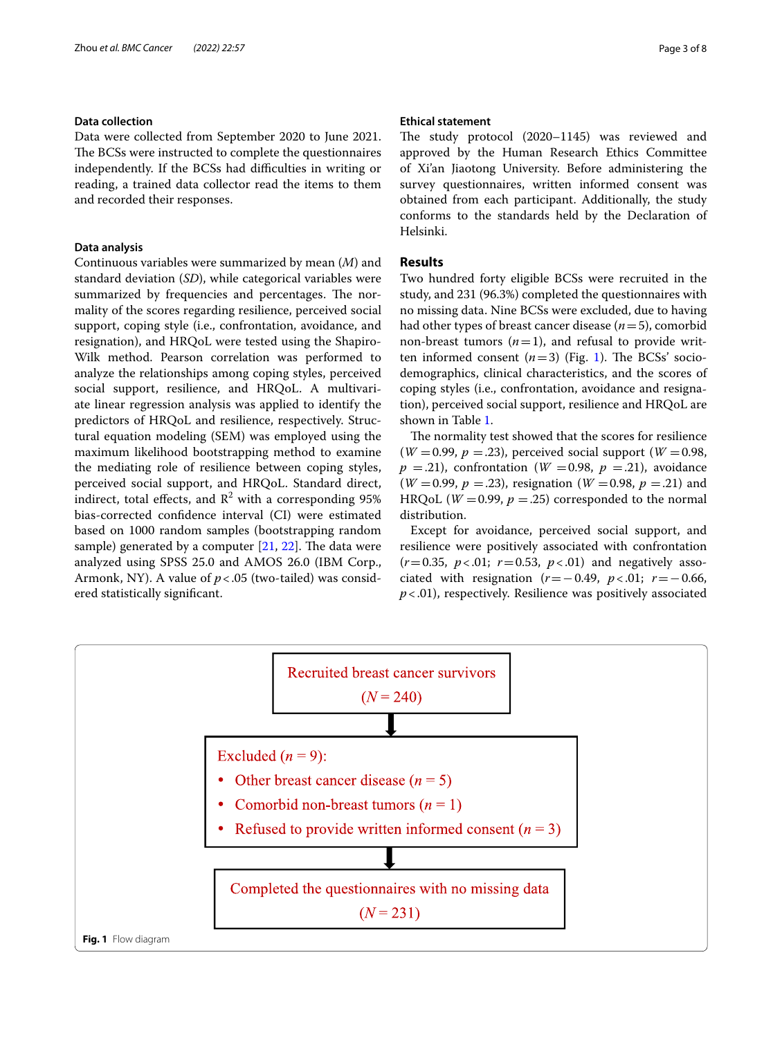## **Data collection**

Data were collected from September 2020 to June 2021. The BCSs were instructed to complete the questionnaires independently. If the BCSs had difficulties in writing or reading, a trained data collector read the items to them and recorded their responses.

## **Data analysis**

Continuous variables were summarized by mean (*M*) and standard deviation (*SD*), while categorical variables were summarized by frequencies and percentages. The normality of the scores regarding resilience, perceived social support, coping style (i.e., confrontation, avoidance, and resignation), and HRQoL were tested using the Shapiro-Wilk method. Pearson correlation was performed to analyze the relationships among coping styles, perceived social support, resilience, and HRQoL. A multivariate linear regression analysis was applied to identify the predictors of HRQoL and resilience, respectively. Structural equation modeling (SEM) was employed using the maximum likelihood bootstrapping method to examine the mediating role of resilience between coping styles, perceived social support, and HRQoL. Standard direct, indirect, total effects, and  $\mathbb{R}^2$  with a corresponding 95% bias-corrected confdence interval (CI) were estimated based on 1000 random samples (bootstrapping random sample) generated by a computer  $[21, 22]$  $[21, 22]$  $[21, 22]$  $[21, 22]$  $[21, 22]$ . The data were analyzed using SPSS 25.0 and AMOS 26.0 (IBM Corp., Armonk, NY). A value of *p*<.05 (two-tailed) was considered statistically signifcant.

## **Ethical statement**

The study protocol (2020–1145) was reviewed and approved by the Human Research Ethics Committee of Xi'an Jiaotong University. Before administering the survey questionnaires, written informed consent was obtained from each participant. Additionally, the study conforms to the standards held by the Declaration of Helsinki.

## **Results**

Two hundred forty eligible BCSs were recruited in the study, and 231 (96.3%) completed the questionnaires with no missing data. Nine BCSs were excluded, due to having had other types of breast cancer disease (*n*=5), comorbid non-breast tumors  $(n=1)$ , and refusal to provide written informed consent  $(n=3)$  (Fig. [1](#page-2-0)). The BCSs' sociodemographics, clinical characteristics, and the scores of coping styles (i.e., confrontation, avoidance and resignation), perceived social support, resilience and HRQoL are shown in Table [1.](#page-3-0)

The normality test showed that the scores for resilience  $(W = 0.99, p = .23)$ , perceived social support  $(W = 0.98,$  $p = 0.21$ , confrontation (*W* = 0.98,  $p = 0.21$ ), avoidance  $(W = 0.99, p = .23)$ , resignation  $(W = 0.98, p = .21)$  and HRQoL ( $W = 0.99$ ,  $p = .25$ ) corresponded to the normal distribution.

Except for avoidance, perceived social support, and resilience were positively associated with confrontation  $(r=0.35, p<0.1; r=0.53, p<0.1)$  and negatively associated with resignation (*r*=−0.49, *p*<.01; *r*=−0.66, *p*<.01), respectively. Resilience was positively associated

<span id="page-2-0"></span>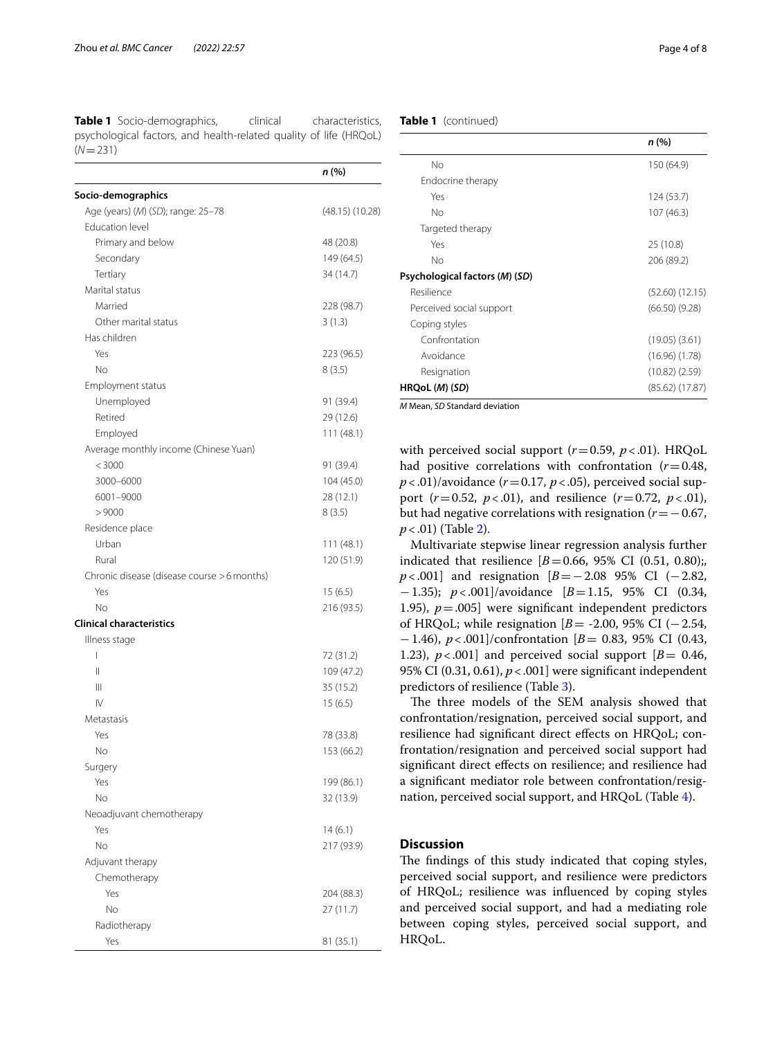<span id="page-3-0"></span>**Table 1** Socio-demographics, clinical characteristics, psychological factors, and health-related quality of life (HRQoL)  $(N=231)$ 

|                                             | n (%)               |
|---------------------------------------------|---------------------|
| Socio-demographics                          |                     |
| Age (years) (M) (SD); range: 25-78          | $(48.15)$ $(10.28)$ |
| <b>Education level</b>                      |                     |
| Primary and below                           | 48 (20.8)           |
| Secondary                                   | 149 (64.5)          |
| Tertiary                                    | 34 (14.7)           |
| Marital status                              |                     |
| Married                                     | 228 (98.7)          |
| Other marital status                        | 3(1.3)              |
| Has children                                |                     |
| Yes                                         | 223 (96.5)          |
| No                                          | 8(3.5)              |
| Employment status                           |                     |
| Unemployed                                  | 91 (39.4)           |
| Retired                                     | 29 (12.6)           |
| Employed                                    | 111(48.1)           |
| Average monthly income (Chinese Yuan)       |                     |
| < 3000                                      | 91 (39.4)           |
| 3000-6000                                   | 104 (45.0)          |
| 6001-9000                                   | 28 (12.1)           |
| >9000                                       | 8(3.5)              |
| Residence place                             |                     |
| Urban                                       | 111 (48.1)          |
| Rural                                       | 120 (51.9)          |
| Chronic disease (disease course > 6 months) |                     |
| Yes                                         | 15 (6.5)            |
| No                                          | 216 (93.5)          |
| <b>Clinical characteristics</b>             |                     |
| Illness stage                               |                     |
| I                                           | 72 (31.2)           |
| Ш                                           | 109 (47.2)          |
| Ш                                           | 35 (15.2)           |
| IV                                          | 15 (6.5)            |
| Metastasis                                  |                     |
| Yes                                         | 78 (33.8)           |
| No                                          | 153 (66.2)          |
| Surgery                                     |                     |
| Yes                                         | 199 (86.1)          |
| No                                          | 32 (13.9)           |
| Neoadjuvant chemotherapy                    |                     |
| Yes                                         | 14(6.1)             |
| No                                          | 217 (93.9)          |
| Adjuvant therapy                            |                     |
| Chemotherapy                                |                     |
| Yes                                         | 204 (88.3)          |
| No                                          | 27(11.7)            |
| Radiotherapy                                |                     |
| Yes                                         | 81(35.1)            |

## **Table 1** (continued)

|                                | n (%)               |
|--------------------------------|---------------------|
| No                             | 150 (64.9)          |
| Endocrine therapy              |                     |
| Yes                            | 124 (53.7)          |
| No                             | 107(46.3)           |
| Targeted therapy               |                     |
| Yes                            | 25 (10.8)           |
| No                             | 206 (89.2)          |
| Psychological factors (M) (SD) |                     |
| Resilience                     | $(52.60)$ $(12.15)$ |
| Perceived social support       | $(66.50)$ $(9.28)$  |
| Coping styles                  |                     |
| Confrontation                  | $(19.05)$ $(3.61)$  |
| Avoidance                      | $(16.96)$ $(1.78)$  |
| Resignation                    | $(10.82)$ $(2.59)$  |
| HRQoL (M) (SD)                 | $(85.62)$ $(17.87)$ |

*M* Mean, *SD* Standard deviation

with perceived social support ( $r=0.59$ ,  $p<0.01$ ). HRQoL had positive correlations with confrontation (*r*=0.48,  $p$  <.01)/avoidance ( $r$ =0.17,  $p$  <.05), perceived social support  $(r=0.52, p<0.01)$ , and resilience  $(r=0.72, p<0.01)$ , but had negative correlations with resignation (*r*=−0.67, *p*<.01) (Table [2](#page-4-0)).

Multivariate stepwise linear regression analysis further indicated that resilience  $[B = 0.66, 95\% \text{ CI } (0.51, 0.80);$ *p* < .001] and resignation [*B* = −2.08 95% CI (−2.82, −1.35); *p*<.001]/avoidance [*B*=1.15, 95% CI (0.34, 1.95),  $p = .005$ ] were significant independent predictors of HRQoL; while resignation [*B*= -2.00, 95% CI (−2.54, −1.46), *p*<.001]/confrontation [*B*= 0.83, 95% CI (0.43, 1.23),  $p < .001$  and perceived social support  $[B = 0.46,$ 95% CI (0.31, 0.61), *p*<.001] were signifcant independent predictors of resilience (Table [3\)](#page-4-1).

The three models of the SEM analysis showed that confrontation/resignation, perceived social support, and resilience had signifcant direct efects on HRQoL; confrontation/resignation and perceived social support had signifcant direct efects on resilience; and resilience had a signifcant mediator role between confrontation/resignation, perceived social support, and HRQoL (Table [4](#page-5-0)).

## **Discussion**

The findings of this study indicated that coping styles, perceived social support, and resilience were predictors of HRQoL; resilience was infuenced by coping styles and perceived social support, and had a mediating role between coping styles, perceived social support, and HRQoL.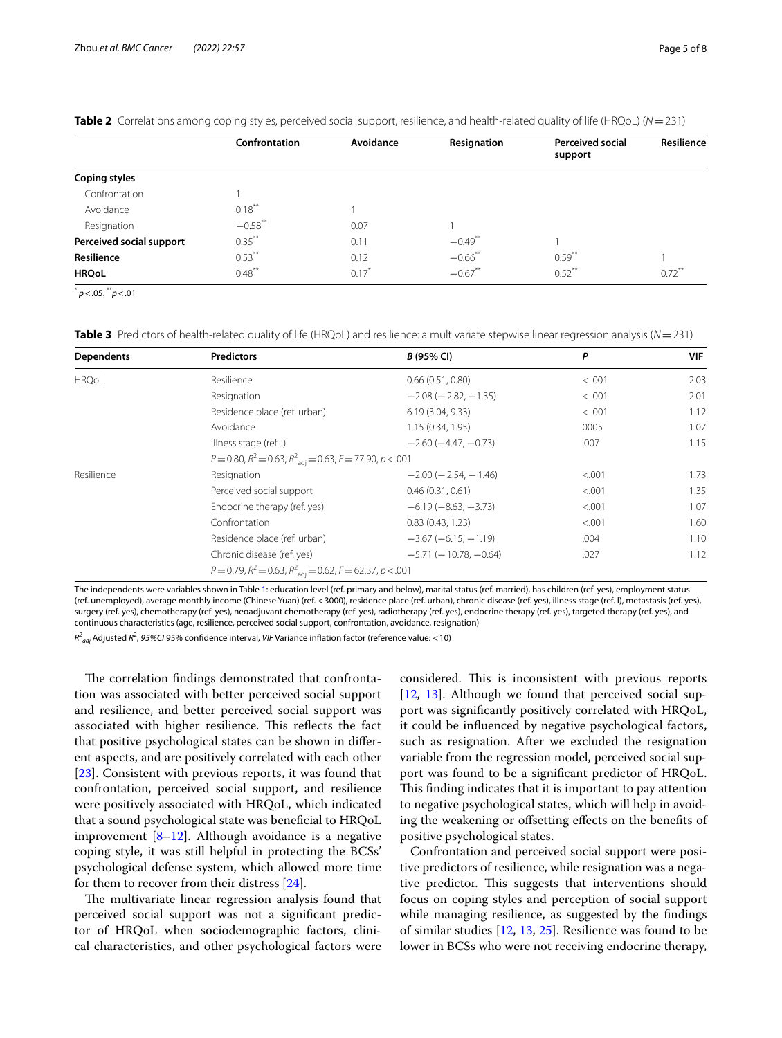|                          | Confrontation | Avoidance | Resignation           | <b>Perceived social</b><br>support | Resilience           |
|--------------------------|---------------|-----------|-----------------------|------------------------------------|----------------------|
| <b>Coping styles</b>     |               |           |                       |                                    |                      |
| Confrontation            |               |           |                       |                                    |                      |
| Avoidance                | $0.18***$     |           |                       |                                    |                      |
| Resignation              | $-0.58$ **    | 0.07      |                       |                                    |                      |
| Perceived social support | $0.35***$     | 0.11      | $-0.49$ **            |                                    |                      |
| Resilience               | $0.53***$     | 0.12      | $-0.66$ <sup>**</sup> | $0.59**$                           |                      |
| <b>HRQoL</b>             | $0.48$ **     | $0.17^*$  | $-0.67**$             | $0.52$ **                          | $0.72$ <sup>**</sup> |

<span id="page-4-0"></span>**Table 2** Correlations among coping styles, perceived social support, resilience, and health-related quality of life (HRQoL) (*N* = 231)

\* *p*<.05. \*\**p*<.01

<span id="page-4-1"></span>**Table 3** Predictors of health-related quality of life (HRQoL) and resilience: a multivariate stepwise linear regression analysis (*N*=231)

| Dependents   | <b>Predictors</b>                                                                 | B (95% CI)                     | P       | <b>VIF</b> |  |
|--------------|-----------------------------------------------------------------------------------|--------------------------------|---------|------------|--|
| <b>HRQoL</b> | Resilience                                                                        | 0.66(0.51, 0.80)               | < .001  | 2.03       |  |
|              | Resignation                                                                       | $-2.08$ ( $-2.82$ , $-1.35$ )  | < .001  | 2.01       |  |
|              | Residence place (ref. urban)                                                      | 6.19(3.04, 9.33)               | < .001  | 1.12       |  |
|              | Avoidance                                                                         | 1.15(0.34, 1.95)               | 0005    | 1.07       |  |
|              | Illness stage (ref. I)                                                            | $-2.60(-4.47, -0.73)$          | .007    | 1.15       |  |
|              | $R = 0.80$ , $R^2 = 0.63$ , $R^2_{\text{adj}} = 0.63$ , $F = 77.90$ , $p < .001$  |                                |         |            |  |
| Resilience   | Resignation                                                                       | $-2.00$ ( $-2.54$ , $-1.46$ )  | < .001  | 1.73       |  |
|              | Perceived social support                                                          | 0.46(0.31, 0.61)               | < 0.001 | 1.35       |  |
|              | Endocrine therapy (ref. yes)                                                      | $-6.19(-8.63,-3.73)$           | < .001  | 1.07       |  |
|              | Confrontation                                                                     | 0.83(0.43, 1.23)               | < .001  | 1.60       |  |
|              | Residence place (ref. urban)                                                      | $-3.67(-6.15, -1.19)$          | .004    | 1.10       |  |
|              | Chronic disease (ref. yes)                                                        | $-5.71$ ( $-10.78$ , $-0.64$ ) | .027    | 1.12       |  |
|              | $R = 0.79$ , $R^2 = 0.63$ , $R^2$ <sub>adj</sub> = 0.62, $F = 62.37$ , $p < .001$ |                                |         |            |  |

The independents were variables shown in Table [1:](#page-3-0) education level (ref. primary and below), marital status (ref. married), has children (ref. yes), employment status (ref. unemployed), average monthly income (Chinese Yuan) (ref. <3000), residence place (ref. urban), chronic disease (ref. yes), illness stage (ref. I), metastasis (ref. yes), surgery (ref. yes), chemotherapy (ref. yes), neoadjuvant chemotherapy (ref. yes), radiotherapy (ref. yes), endocrine therapy (ref. yes), targeted therapy (ref. yes), and continuous characteristics (age, resilience, perceived social support, confrontation, avoidance, resignation)

*R2 adj* Adjusted *R*<sup>2</sup> , *95%CI* 95% confdence interval, *VIF* Variance infation factor (reference value: <10)

The correlation findings demonstrated that confrontation was associated with better perceived social support and resilience, and better perceived social support was associated with higher resilience. This reflects the fact that positive psychological states can be shown in diferent aspects, and are positively correlated with each other [[23\]](#page-7-2). Consistent with previous reports, it was found that confrontation, perceived social support, and resilience were positively associated with HRQoL, which indicated that a sound psychological state was benefcial to HRQoL improvement  $[8-12]$  $[8-12]$ . Although avoidance is a negative coping style, it was still helpful in protecting the BCSs' psychological defense system, which allowed more time for them to recover from their distress [\[24](#page-7-3)].

The multivariate linear regression analysis found that perceived social support was not a signifcant predictor of HRQoL when sociodemographic factors, clinical characteristics, and other psychological factors were considered. This is inconsistent with previous reports [[12,](#page-6-9) [13\]](#page-6-10). Although we found that perceived social support was signifcantly positively correlated with HRQoL, it could be infuenced by negative psychological factors, such as resignation. After we excluded the resignation variable from the regression model, perceived social support was found to be a signifcant predictor of HRQoL. This finding indicates that it is important to pay attention to negative psychological states, which will help in avoiding the weakening or ofsetting efects on the benefts of positive psychological states.

Confrontation and perceived social support were positive predictors of resilience, while resignation was a negative predictor. This suggests that interventions should focus on coping styles and perception of social support while managing resilience, as suggested by the fndings of similar studies [\[12,](#page-6-9) [13,](#page-6-10) [25\]](#page-7-4). Resilience was found to be lower in BCSs who were not receiving endocrine therapy,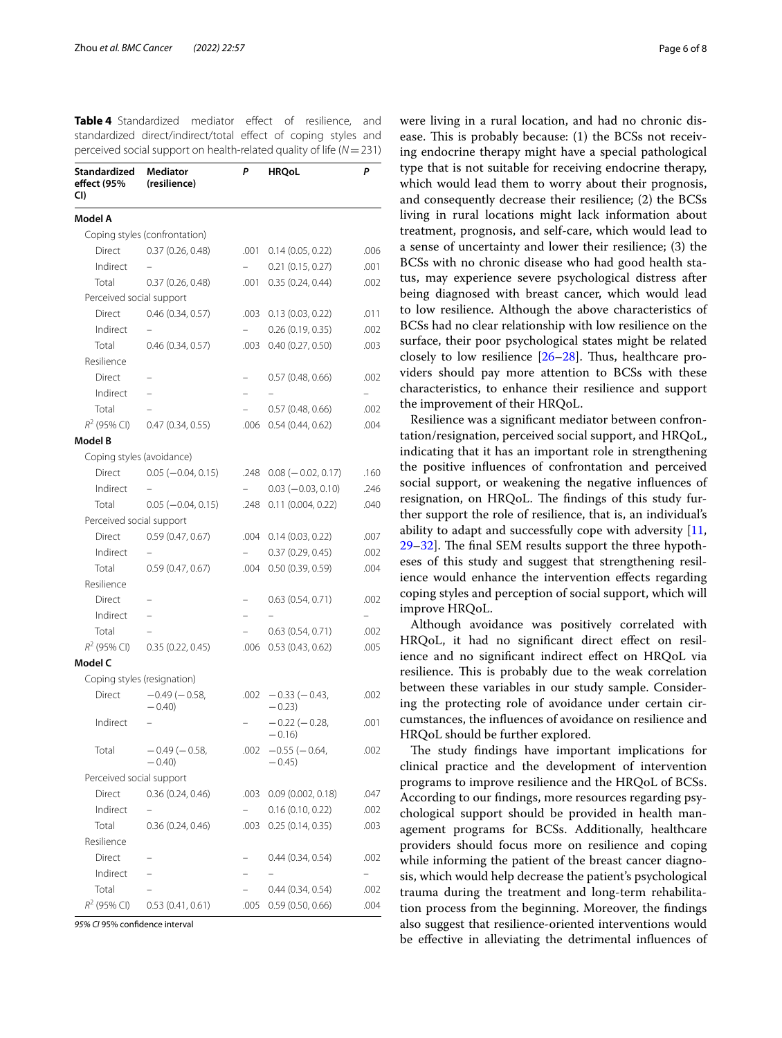<span id="page-5-0"></span>**Table 4** Standardized mediator effect of resilience, and standardized direct/indirect/total effect of coping styles and perceived social support on health-related quality of life (*N*=231)

| Standardized<br>effect (95%<br>CI) | <b>Mediator</b><br>(resilience) | Ρ    | <b>HRQoL</b>                    | P    |
|------------------------------------|---------------------------------|------|---------------------------------|------|
| Model A                            |                                 |      |                                 |      |
|                                    | Coping styles (confrontation)   |      |                                 |      |
| Direct                             | 0.37(0.26, 0.48)                | .001 | 0.14(0.05, 0.22)                | .006 |
| Indirect                           |                                 |      | 0.21(0.15, 0.27)                | .001 |
| Total                              | 0.37(0.26, 0.48)                | .001 | 0.35(0.24, 0.44)                | .002 |
| Perceived social support           |                                 |      |                                 |      |
| Direct                             | 0.46(0.34, 0.57)                | .003 | 0.13(0.03, 0.22)                | .011 |
| Indirect                           |                                 |      | 0.26(0.19, 0.35)                | .002 |
| Total                              | 0.46(0.34, 0.57)                | .003 | 0.40(0.27, 0.50)                | .003 |
| Resilience                         |                                 |      |                                 |      |
| Direct                             |                                 |      | 0.57(0.48, 0.66)                | .002 |
| Indirect                           | $\overline{\phantom{0}}$        |      |                                 |      |
| Total                              |                                 | L.   | 0.57(0.48, 0.66)                | .002 |
| $R^2$ (95% CI)                     | 0.47(0.34, 0.55)                | .006 | 0.54(0.44, 0.62)                | .004 |
| Model B                            |                                 |      |                                 |      |
| Coping styles (avoidance)          |                                 |      |                                 |      |
| Direct                             | $0.05 (-0.04, 0.15)$            | .248 | $0.08 (-0.02, 0.17)$            | .160 |
| Indirect                           |                                 |      | $0.03 (-0.03, 0.10)$            | .246 |
| Total                              | $0.05 (-0.04, 0.15)$            | .248 | 0.11(0.004, 0.22)               | .040 |
| Perceived social support           |                                 |      |                                 |      |
| Direct                             | 0.59(0.47, 0.67)                | .004 | 0.14(0.03, 0.22)                | .007 |
| Indirect                           |                                 |      | 0.37(0.29, 0.45)                | .002 |
| Total                              | 0.59(0.47, 0.67)                | .004 | 0.50(0.39, 0.59)                | .004 |
| Resilience                         |                                 |      |                                 |      |
| Direct                             |                                 |      | 0.63(0.54, 0.71)                | .002 |
| Indirect                           |                                 |      |                                 |      |
| Total                              |                                 |      | 0.63(0.54, 0.71)                | .002 |
| $R^2$ (95% CI)                     | 0.35(0.22, 0.45)                | .006 | 0.53(0.43, 0.62)                | .005 |
| Model C                            |                                 |      |                                 |      |
|                                    | Coping styles (resignation)     |      |                                 |      |
| Direct                             | $-0.49(-0.58,$<br>$-0.40$       | .002 | $-0.33(-0.43,$<br>$-0.23$       | .002 |
| Indirect                           |                                 |      | $-0.22(-0.28,$<br>$-0.16$       | .001 |
| Total                              | $-0.49(-0.58,$<br>$-0.40$       | .002 | $-0.55$ ( $-0.64$ )<br>$-0.45)$ | .002 |
| Perceived social support           |                                 |      |                                 |      |
| Direct                             | 0.36(0.24, 0.46)                | .003 | 0.09(0.002, 0.18)               | .047 |
| Indirect                           |                                 |      | 0.16(0.10, 0.22)                | .002 |
| Total                              | 0.36(0.24, 0.46)                | .003 | 0.25(0.14, 0.35)                | .003 |
| Resilience                         |                                 |      |                                 |      |
| Direct                             |                                 |      | 0.44(0.34, 0.54)                | .002 |
| Indirect                           |                                 |      |                                 |      |
| Total                              |                                 |      | 0.44(0.34, 0.54)                | .002 |
| $R^2$ (95% CI)                     | 0.53(0.41, 0.61)                | .005 | 0.59(0.50, 0.66)                | .004 |

*95% CI* 95% confdence interval

were living in a rural location, and had no chronic disease. This is probably because:  $(1)$  the BCSs not receiving endocrine therapy might have a special pathological type that is not suitable for receiving endocrine therapy, which would lead them to worry about their prognosis, and consequently decrease their resilience; (2) the BCSs living in rural locations might lack information about treatment, prognosis, and self-care, which would lead to a sense of uncertainty and lower their resilience; (3) the BCSs with no chronic disease who had good health status, may experience severe psychological distress after being diagnosed with breast cancer, which would lead to low resilience. Although the above characteristics of BCSs had no clear relationship with low resilience on the surface, their poor psychological states might be related closely to low resilience  $[26-28]$  $[26-28]$  $[26-28]$ . Thus, healthcare providers should pay more attention to BCSs with these characteristics, to enhance their resilience and support the improvement of their HRQoL.

Resilience was a signifcant mediator between confrontation/resignation, perceived social support, and HRQoL, indicating that it has an important role in strengthening the positive infuences of confrontation and perceived social support, or weakening the negative infuences of resignation, on HRQoL. The findings of this study further support the role of resilience, that is, an individual's ability to adapt and successfully cope with adversity [[11](#page-6-8),  $29-32$  $29-32$ . The final SEM results support the three hypotheses of this study and suggest that strengthening resilience would enhance the intervention efects regarding coping styles and perception of social support, which will improve HRQoL.

Although avoidance was positively correlated with HRQoL, it had no significant direct effect on resilience and no signifcant indirect efect on HRQoL via resilience. This is probably due to the weak correlation between these variables in our study sample. Considering the protecting role of avoidance under certain circumstances, the infuences of avoidance on resilience and HRQoL should be further explored.

The study findings have important implications for clinical practice and the development of intervention programs to improve resilience and the HRQoL of BCSs. According to our fndings, more resources regarding psychological support should be provided in health management programs for BCSs. Additionally, healthcare providers should focus more on resilience and coping while informing the patient of the breast cancer diagnosis, which would help decrease the patient's psychological trauma during the treatment and long-term rehabilitation process from the beginning. Moreover, the fndings also suggest that resilience-oriented interventions would be efective in alleviating the detrimental infuences of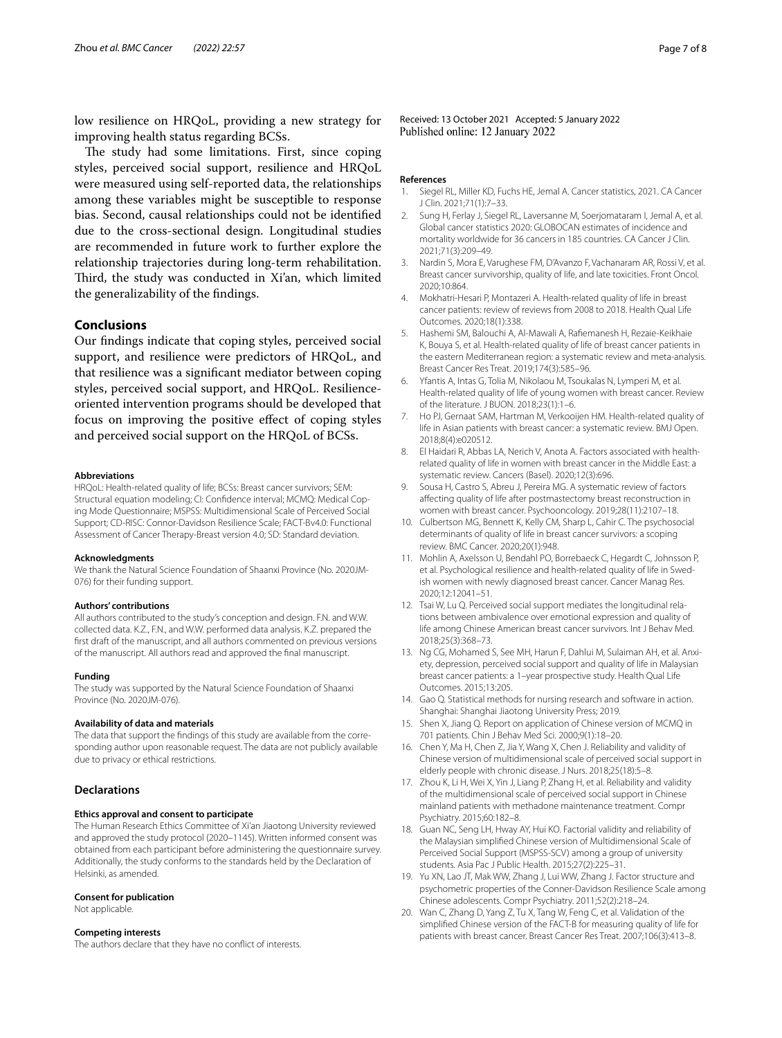low resilience on HRQoL, providing a new strategy for improving health status regarding BCSs.

The study had some limitations. First, since coping styles, perceived social support, resilience and HRQoL were measured using self-reported data, the relationships among these variables might be susceptible to response bias. Second, causal relationships could not be identifed due to the cross-sectional design. Longitudinal studies are recommended in future work to further explore the relationship trajectories during long-term rehabilitation. Third, the study was conducted in Xi'an, which limited the generalizability of the fndings.

## **Conclusions**

Our fndings indicate that coping styles, perceived social support, and resilience were predictors of HRQoL, and that resilience was a signifcant mediator between coping styles, perceived social support, and HRQoL. Resilienceoriented intervention programs should be developed that focus on improving the positive efect of coping styles and perceived social support on the HRQoL of BCSs.

#### **Abbreviations**

HRQoL: Health-related quality of life; BCSs: Breast cancer survivors; SEM: Structural equation modeling; CI: Confdence interval; MCMQ: Medical Coping Mode Questionnaire; MSPSS: Multidimensional Scale of Perceived Social Support; CD-RISC: Connor-Davidson Resilience Scale; FACT-Bv4.0: Functional Assessment of Cancer Therapy-Breast version 4.0; SD: Standard deviation.

#### **Acknowledgments**

We thank the Natural Science Foundation of Shaanxi Province (No. 2020JM-076) for their funding support.

### **Authors' contributions**

All authors contributed to the study's conception and design. F.N. and W.W. collected data. K.Z., F.N., and W.W. performed data analysis. K.Z. prepared the frst draft of the manuscript, and all authors commented on previous versions of the manuscript. All authors read and approved the fnal manuscript.

### **Funding**

The study was supported by the Natural Science Foundation of Shaanxi Province (No. 2020JM-076).

## **Availability of data and materials**

The data that support the fndings of this study are available from the corresponding author upon reasonable request. The data are not publicly available due to privacy or ethical restrictions.

## **Declarations**

### **Ethics approval and consent to participate**

The Human Research Ethics Committee of Xi'an Jiaotong University reviewed and approved the study protocol (2020–1145). Written informed consent was obtained from each participant before administering the questionnaire survey. Additionally, the study conforms to the standards held by the Declaration of Helsinki, as amended.

#### **Consent for publication**

Not applicable.

### **Competing interests**

The authors declare that they have no confict of interests.

Received: 13 October 2021 Accepted: 5 January 2022 Published online: 12 January 2022

### **References**

- <span id="page-6-0"></span>1. Siegel RL, Miller KD, Fuchs HE, Jemal A. Cancer statistics, 2021. CA Cancer J Clin. 2021;71(1):7–33.
- <span id="page-6-1"></span>2. Sung H, Ferlay J, Siegel RL, Laversanne M, Soerjomataram I, Jemal A, et al. Global cancer statistics 2020: GLOBOCAN estimates of incidence and mortality worldwide for 36 cancers in 185 countries. CA Cancer J Clin. 2021;71(3):209–49.
- <span id="page-6-2"></span>3. Nardin S, Mora E, Varughese FM, D'Avanzo F, Vachanaram AR, Rossi V, et al. Breast cancer survivorship, quality of life, and late toxicities. Front Oncol. 2020;10:864.
- <span id="page-6-3"></span>4. Mokhatri-Hesari P, Montazeri A. Health-related quality of life in breast cancer patients: review of reviews from 2008 to 2018. Health Qual Life Outcomes. 2020;18(1):338.
- 5. Hashemi SM, Balouchi A, Al-Mawali A, Rafemanesh H, Rezaie-Keikhaie K, Bouya S, et al. Health-related quality of life of breast cancer patients in the eastern Mediterranean region: a systematic review and meta-analysis. Breast Cancer Res Treat. 2019;174(3):585–96.
- Yfantis A, Intas G, Tolia M, Nikolaou M, Tsoukalas N, Lymperi M, et al. Health-related quality of life of young women with breast cancer. Review of the literature. J BUON. 2018;23(1):1–6.
- <span id="page-6-4"></span>7. Ho PJ, Gernaat SAM, Hartman M, Verkooijen HM. Health-related quality of life in Asian patients with breast cancer: a systematic review. BMJ Open. 2018;8(4):e020512.
- <span id="page-6-5"></span>8. El Haidari R, Abbas LA, Nerich V, Anota A. Factors associated with healthrelated quality of life in women with breast cancer in the Middle East: a systematic review. Cancers (Basel). 2020;12(3):696.
- <span id="page-6-6"></span>9. Sousa H, Castro S, Abreu J, Pereira MG. A systematic review of factors afecting quality of life after postmastectomy breast reconstruction in women with breast cancer. Psychooncology. 2019;28(11):2107–18.
- <span id="page-6-7"></span>10. Culbertson MG, Bennett K, Kelly CM, Sharp L, Cahir C. The psychosocial determinants of quality of life in breast cancer survivors: a scoping review. BMC Cancer. 2020;20(1):948.
- <span id="page-6-8"></span>11. Mohlin A, Axelsson U, Bendahl PO, Borrebaeck C, Hegardt C, Johnsson P, et al. Psychological resilience and health-related quality of life in Swedish women with newly diagnosed breast cancer. Cancer Manag Res. 2020;12:12041–51.
- <span id="page-6-9"></span>12. Tsai W, Lu Q. Perceived social support mediates the longitudinal relations between ambivalence over emotional expression and quality of life among Chinese American breast cancer survivors. Int J Behav Med. 2018;25(3):368–73.
- <span id="page-6-10"></span>13. Ng CG, Mohamed S, See MH, Harun F, Dahlui M, Sulaiman AH, et al. Anxiety, depression, perceived social support and quality of life in Malaysian breast cancer patients: a 1–year prospective study. Health Qual Life Outcomes. 2015;13:205.
- <span id="page-6-11"></span>14. Gao Q. Statistical methods for nursing research and software in action. Shanghai: Shanghai Jiaotong University Press; 2019.
- <span id="page-6-12"></span>15. Shen X, Jiang Q. Report on application of Chinese version of MCMQ in 701 patients. Chin J Behav Med Sci. 2000;9(1):18–20.
- <span id="page-6-13"></span>16. Chen Y, Ma H, Chen Z, Jia Y, Wang X, Chen J. Reliability and validity of Chinese version of multidimensional scale of perceived social support in elderly people with chronic disease. J Nurs. 2018;25(18):5–8.
- <span id="page-6-14"></span>17. Zhou K, Li H, Wei X, Yin J, Liang P, Zhang H, et al. Reliability and validity of the multidimensional scale of perceived social support in Chinese mainland patients with methadone maintenance treatment. Compr Psychiatry. 2015;60:182–8.
- <span id="page-6-15"></span>18. Guan NC, Seng LH, Hway AY, Hui KO. Factorial validity and reliability of the Malaysian simplifed Chinese version of Multidimensional Scale of Perceived Social Support (MSPSS-SCV) among a group of university students. Asia Pac J Public Health. 2015;27(2):225–31.
- <span id="page-6-16"></span>19. Yu XN, Lao JT, Mak WW, Zhang J, Lui WW, Zhang J. Factor structure and psychometric properties of the Conner-Davidson Resilience Scale among Chinese adolescents. Compr Psychiatry. 2011;52(2):218–24.
- <span id="page-6-17"></span>20. Wan C, Zhang D, Yang Z, Tu X, Tang W, Feng C, et al. Validation of the simplifed Chinese version of the FACT-B for measuring quality of life for patients with breast cancer. Breast Cancer Res Treat. 2007;106(3):413–8.